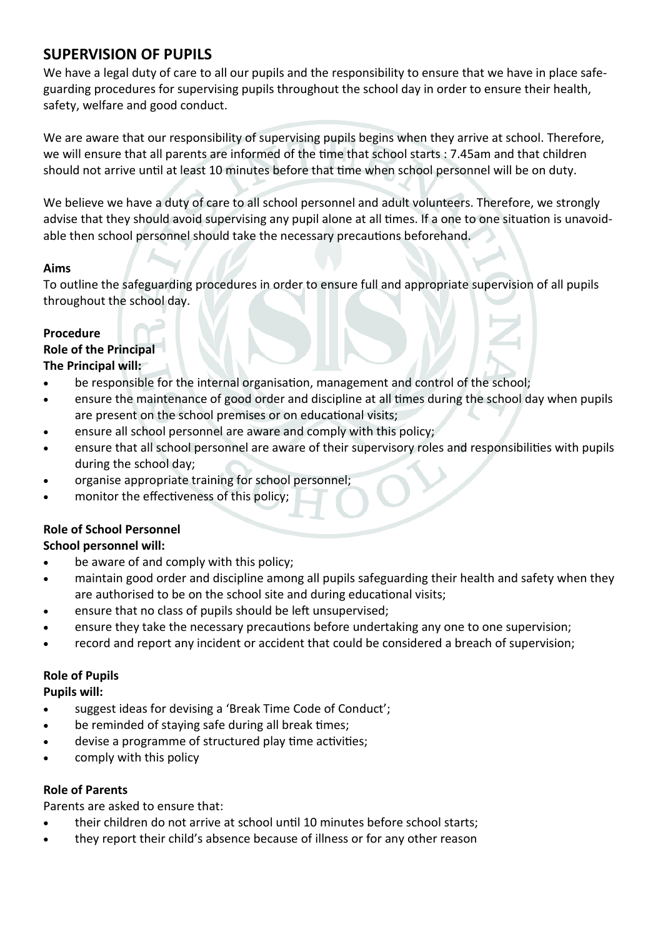# **SUPERVISION OF PUPILS**

We have a legal duty of care to all our pupils and the responsibility to ensure that we have in place safeguarding procedures for supervising pupils throughout the school day in order to ensure their health, safety, welfare and good conduct.

We are aware that our responsibility of supervising pupils begins when they arrive at school. Therefore, we will ensure that all parents are informed of the time that school starts : 7.45am and that children should not arrive until at least 10 minutes before that time when school personnel will be on duty.

We believe we have a duty of care to all school personnel and adult volunteers. Therefore, we strongly advise that they should avoid supervising any pupil alone at all times. If a one to one situation is unavoidable then school personnel should take the necessary precautions beforehand.

#### **Aims**

To outline the safeguarding procedures in order to ensure full and appropriate supervision of all pupils throughout the school day.

## **Procedure**

# **Role of the Principal**

## **The Principal will:**

- be responsible for the internal organisation, management and control of the school;
- ensure the maintenance of good order and discipline at all times during the school day when pupils are present on the school premises or on educational visits;
- ensure all school personnel are aware and comply with this policy;
- ensure that all school personnel are aware of their supervisory roles and responsibilities with pupils during the school day;
- organise appropriate training for school personnel;
- monitor the effectiveness of this policy;

## **Role of School Personnel**

#### **School personnel will:**

- be aware of and comply with this policy;
- maintain good order and discipline among all pupils safeguarding their health and safety when they are authorised to be on the school site and during educational visits;
- ensure that no class of pupils should be left unsupervised;
- ensure they take the necessary precautions before undertaking any one to one supervision;
- record and report any incident or accident that could be considered a breach of supervision;

#### **Role of Pupils**

#### **Pupils will:**

- suggest ideas for devising a 'Break Time Code of Conduct';
- be reminded of staying safe during all break times;
- devise a programme of structured play time activities;
- comply with this policy

#### **Role of Parents**

Parents are asked to ensure that:

- their children do not arrive at school until 10 minutes before school starts;
- they report their child's absence because of illness or for any other reason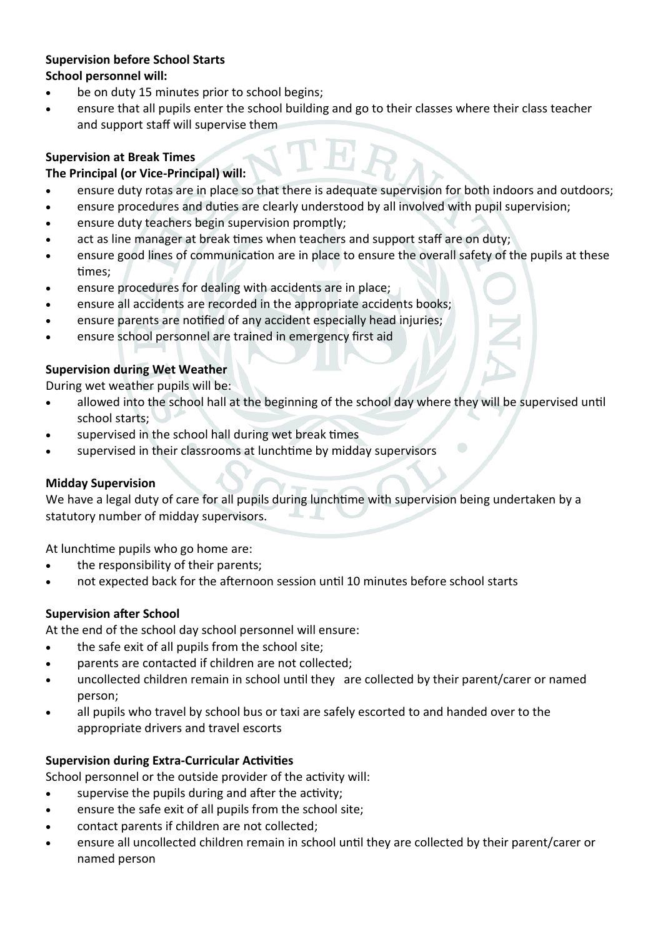#### **Supervision before School Starts School personnel will:**

- be on duty 15 minutes prior to school begins;
- ensure that all pupils enter the school building and go to their classes where their class teacher and support staff will supervise them

## **Supervision at Break Times**

## **The Principal (or Vice-Principal) will:**

- ensure duty rotas are in place so that there is adequate supervision for both indoors and outdoors;
- ensure procedures and duties are clearly understood by all involved with pupil supervision;
- ensure duty teachers begin supervision promptly;
- act as line manager at break times when teachers and support staff are on duty;
- ensure good lines of communication are in place to ensure the overall safety of the pupils at these times;
- ensure procedures for dealing with accidents are in place;
- ensure all accidents are recorded in the appropriate accidents books;
- ensure parents are notified of any accident especially head injuries;
- ensure school personnel are trained in emergency first aid

## **Supervision during Wet Weather**

During wet weather pupils will be:

- allowed into the school hall at the beginning of the school day where they will be supervised until school starts;
- supervised in the school hall during wet break times
- supervised in their classrooms at lunchtime by midday supervisors

#### **Midday Supervision**

We have a legal duty of care for all pupils during lunchtime with supervision being undertaken by a statutory number of midday supervisors.

At lunchtime pupils who go home are:

- the responsibility of their parents;
- not expected back for the afternoon session until 10 minutes before school starts

## **Supervision after School**

At the end of the school day school personnel will ensure:

- the safe exit of all pupils from the school site;
- parents are contacted if children are not collected;
- uncollected children remain in school until they are collected by their parent/carer or named person;
- all pupils who travel by school bus or taxi are safely escorted to and handed over to the appropriate drivers and travel escorts

## **Supervision during Extra-Curricular Activities**

School personnel or the outside provider of the activity will:

- supervise the pupils during and after the activity;
- ensure the safe exit of all pupils from the school site;
- contact parents if children are not collected;
- ensure all uncollected children remain in school until they are collected by their parent/carer or named person